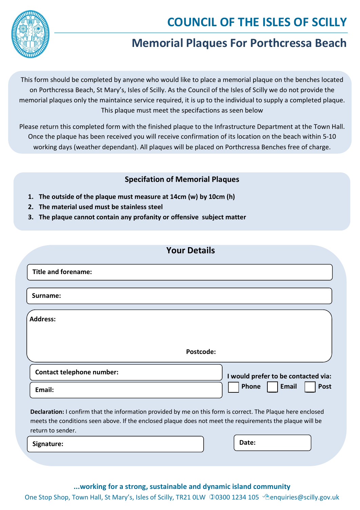

## COUNCIL OF THE ISLES OF SCILLY

### Memorial Plaques For Porthcressa Beach

This form should be completed by anyone who would like to place a memorial plaque on the benches located on Porthcressa Beach, St Mary's, Isles of Scilly. As the Council of the Isles of Scilly we do not provide the memorial plaques only the maintenance service required, it is up to the individual to supply a completed plaque. This plaque must meet the specifications as seen below

Please return this completed form with the finished plaque to the Environment Services Department. You can email a copy to environment@scilly.gov.uk or send your form to St Marys Library, Buzza Street, St Marys, Isles of Scilly, TR21 OH Once the plaque has been received you will receive confirmation of its location on the beach within 5-10 working days (weather dependent). All plaques will be placed on Porthcressa Benches free of charge.

#### **Specification of Plaque**

- **1.** The outside of the plaque must measure at 14cm (w) by 10cm (h)
- **2.** The material used must be stainless steel
- **3.** The plaque cannot contain any profanity or offensive subject matter

#### Your Details

| <b>Title and forename:</b>                                                                                   |                                      |
|--------------------------------------------------------------------------------------------------------------|--------------------------------------|
|                                                                                                              |                                      |
| Surname:                                                                                                     |                                      |
|                                                                                                              |                                      |
| <b>Address:</b>                                                                                              |                                      |
|                                                                                                              |                                      |
|                                                                                                              |                                      |
| Postcode:                                                                                                    |                                      |
| <b>Contact telephone number:</b>                                                                             | I would prefer to be contacted via:  |
| Email:                                                                                                       | Phone<br><b>Email</b><br><b>Post</b> |
|                                                                                                              |                                      |
| Declaration: I confirm that the information provided by me on this form is correct. The Plaque here enclosed |                                      |
| meets the conditions seen above. If the enclosed plaque does not meet the requirements the plaque will be    |                                      |
| return to sender.                                                                                            |                                      |

Signature: and Date: a proposal of the state of the state of the Date: a proposal of the Date:

...working for a strong, sustainable and dynamic island community